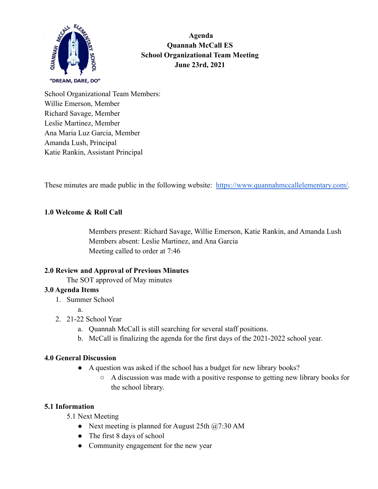

**klc Agenda Quannah McCall ES School Organizational Team Meeting June 23rd, 2021**

School Organizational Team Members: Willie Emerson, Member Richard Savage, Member Leslie Martinez, Member Ana Maria Luz Garcia, Member Amanda Lush, Principal Katie Rankin, Assistant Principal

These minutes are made public in the following website: [https://www.quannahmccallelementary.com/.](https://www.quannahmccallelementary.com/)

## **1.0 Welcome & Roll Call**

Members present: Richard Savage, Willie Emerson, Katie Rankin, and Amanda Lush Members absent: Leslie Martinez, and Ana Garcia Meeting called to order at 7:46

## **2.0 Review and Approval of Previous Minutes**

The SOT approved of May minutes

#### **3.0 Agenda Items**

1. Summer School

a.

- 2. 21-22 School Year
	- a. Quannah McCall is still searching for several staff positions.
	- b. McCall is finalizing the agenda for the first days of the 2021-2022 school year.

#### **4.0 General Discussion**

- **●** A question was asked if the school has a budget for new library books?
	- A discussion was made with a positive response to getting new library books for the school library.

#### **5.1 Information**

5.1 Next Meeting

- Next meeting is planned for August 25th  $\omega$ 7:30 AM
- The first 8 days of school
- Community engagement for the new year